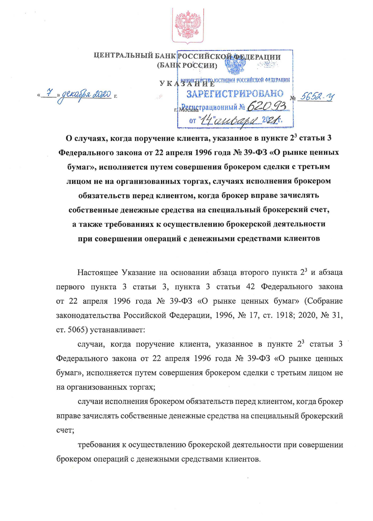

ЦЕНТРАЛЬНЫЙ БАНК РОССИЙСКОЙ ФЕДЕРАЦИИ (БАНК РОССИИ)

> УКАЗАНИЕ ЮСТИЦИЯ РОССИЙСКОЙ ФЕДЕРАЦИИ ЗАРЕГИСТРИРОВАНО № 5652-У г. Мондетрационный № 620 or "14" aubapa 2021

<u>« 7 » декабря 2020</u> г.

О случаях, когда поручение клиента, указанное в пункте 2<sup>3</sup> статьи 3 Федерального закона от 22 апреля 1996 года № 39-ФЗ «О рынке ценных бумаг», исполняется путем совершения брокером сделки с третьим лицом не на организованных торгах, случаях исполнения брокером обязательств перед клиентом, когда брокер вправе зачислять собственные денежные средства на специальный брокерский счет, а также требованиях к осуществлению брокерской деятельности при совершении операций с денежными средствами клиентов

Настоящее Указание на основании абзаца второго пункта 2<sup>3</sup> и абзаца первого пункта 3 статьи 3, пункта 3 статьи 42 Федерального закона от 22 апреля 1996 года № 39-ФЗ «О рынке ценных бумаг» (Собрание законодательства Российской Федерации, 1996, № 17, ст. 1918; 2020, № 31, ст. 5065) устанавливает:

случаи, когда поручение клиента, указанное в пункте  $2^3$  статьи 3 Федерального закона от 22 апреля 1996 года № 39-ФЗ «О рынке ценных бумаг», исполняется путем совершения брокером сделки с третьим лицом не на организованных торгах;

случаи исполнения брокером обязательств перед клиентом, когда брокер вправе зачислять собственные денежные средства на специальный брокерский счет;

требования к осуществлению брокерской деятельности при совершении брокером операций с денежными средствами клиентов.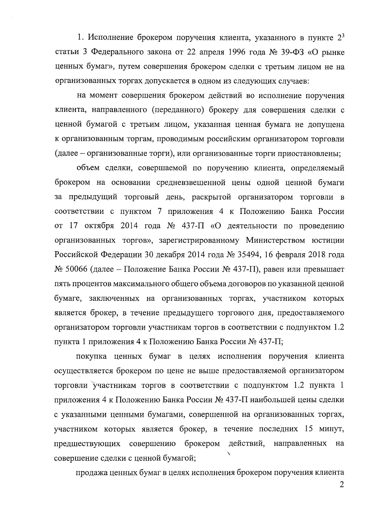1. Исполнение брокером поручения клиента, указанного в пункте  $2^3$ статьи 3 Федерального закона от 22 апреля 1996 года № 39-ФЗ «О рынке ценных бумаг», путем совершения брокером сделки с третьим лицом не на организованных торгах допускается в одном из следующих случаев:

на момент совершения брокером действий во исполнение поручения клиента, направленного (переданного) брокеру для совершения сделки с ценной бумагой с третьим лицом, указанная ценная бумага не допущена к организованным торгам, проводимым российским организатором торговли (далее – организованные торги), или организованные торги приостановлены;

объем сделки, совершаемой по поручению клиента, определяемый брокером на основании средневзвешенной цены одной ценной бумаги за предыдущий торговый день, раскрытой организатором торговли в соответствии с пунктом 7 приложения 4 к Положению Банка России от 17 октября 2014 года № 437-П «О деятельности по проведению организованных торгов», зарегистрированному Министерством юстиции Российской Федерации 30 декабря 2014 года № 35494, 16 февраля 2018 года  $\mathcal{N}_2$  50066 (далее – Положение Банка России  $\mathcal{N}_2$  437-П), равен или превышает пять процентов максимального общего объема договоров по указанной ценной бумаге, заключенных на организованных торгах, участником которых является брокер, в течение предыдущего торгового дня, предоставляемого организатором торговли участникам торгов в соответствии с подпунктом 1.2 пункта 1 приложения 4 к Положению Банка России № 437-П;

покупка ценных бумаг в целях исполнения поручения клиента осуществляется брокером по цене не выше предоставляемой организатором торговли участникам торгов в соответствии с подпунктом 1.2 пункта 1 приложения 4 к Положению Банка России № 437-П наибольшей цены сделки с указанными ценными бумагами, совершенной на организованных торгах, участником которых является брокер, в течение последних 15 минут, предшествующих совершению брокером действий, направленных на совершение сделки с ценной бумагой;

продажа ценных бумаг в целях исполнения брокером поручения клиента

 $\overline{2}$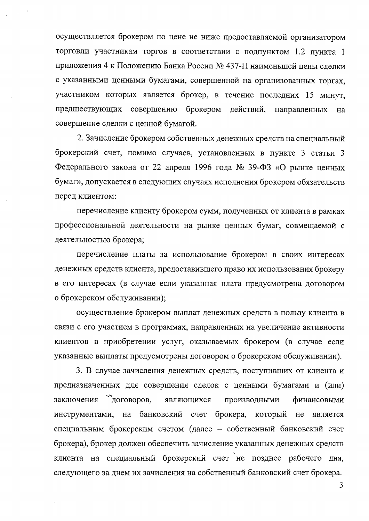осуществляется брокером по цене не ниже предоставляемой организатором торговли участникам торгов в соответствии с подпунктом 1.2 пункта 1 приложения 4 к Положению Банка России № 437-П наименьшей цены сделки с указанными ценными бумагами, совершенной на организованных торгах, участником которых является брокер, в течение последних 15 минут, предшествующих совершению брокером действий, направленных Ha совершение сделки с ценной бумагой.

2. Зачисление брокером собственных денежных средств на специальный брокерский счет, помимо случаев, установленных в пункте 3 статьи 3 Федерального закона от 22 апреля 1996 года № 39-ФЗ «О рынке ценных бумаг», допускается в следующих случаях исполнения брокером обязательств перед клиентом:

перечисление клиенту брокером сумм, полученных от клиента в рамках профессиональной деятельности на рынке ценных бумаг, совмещаемой с деятельностью брокера;

перечисление платы за использование брокером в своих интересах денежных средств клиента, предоставившего право их использования брокеру в его интересах (в случае если указанная плата предусмотрена договором о брокерском обслуживании);

осуществление брокером выплат денежных средств в пользу клиента в связи с его участием в программах, направленных на увеличение активности клиентов в приобретении услуг, оказываемых брокером (в случае если указанные выплаты предусмотрены договором о брокерском обслуживании).

3. В случае зачисления денежных средств, поступивших от клиента и предназначенных для совершения сделок с ценными бумагами и (или) заключения договоров, являющихся производными финансовыми инструментами, на банковский счет брокера, который не является специальным брокерским счетом (далее - собственный банковский счет брокера), брокер должен обеспечить зачисление указанных денежных средств клиента на специальный брокерский счет не позднее рабочего дня, следующего за днем их зачисления на собственный банковский счет брокера.

 $\overline{3}$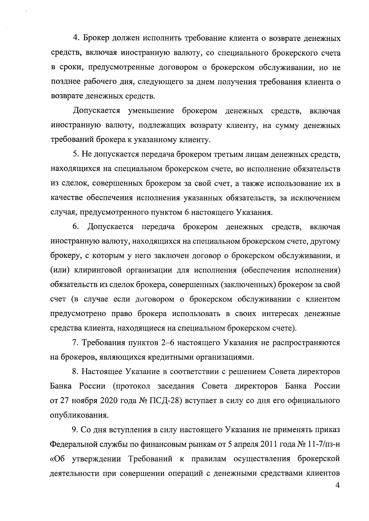4. Брокер должен исполнить требование клиента о возврате денежных средств, включая иностранную валюту, со специального брокерского счета в сроки, предусмотренные договором о брокерском обслуживании, но не позднее рабочего дня, следующего за днем получения требования клиента о возврате денежных средств.

Допускается уменьшение брокером денежных средств, включая иностранную валюту, подлежащих возврату клиенту, на сумму денежных требований брокера к указанному клиенту.

5. Не допускается передача брокером третьим лицам денежных средств, находящихся на специальном брокерском счете, во исполнение обязательств из сделок, совершенных брокером за свой счет, а также использование их в качестве обеспечения исполнения указанных обязательств, за исключением случая, предусмотренного пунктом 6 настоящего Указания.

6. Допускается передача брокером денежных средств, включая иностранную валюту, находящихся на специальном брокерском счете, другому брокеру, с которым у него заключен договор о брокерском обслуживании, и (или) клиринговой организации для исполнения (обеспечения исполнения) обязательств из сделок брокера, совершенных (заключенных) брокером за свой счет (в случае если договором о брокерском обслуживании с клиентом предусмотрено право брокера использовать в своих интересах денежные средства клиента, находящиеся на специальном брокерском счете).

7. Требования пунктов 2-6 настоящего Указания не распространяются на брокеров, являющихся кредитными организациями.

8. Настоящее Указание в соответствии с решением Совета директоров Банка России (протокол заседания Совета директоров Банка России от 27 ноября 2020 года № ПСД-28) вступает в силу со дня его официального опубликования.

9. Со дня вступления в силу настоящего Указания не применять приказ Федеральной службы по финансовым рынкам от 5 апреля 2011 года № 11-7/пз-н «Об утверждении Требований к правилам осуществления брокерской деятельности при совершении операций с денежными средствами клиентов

 $\overline{4}$